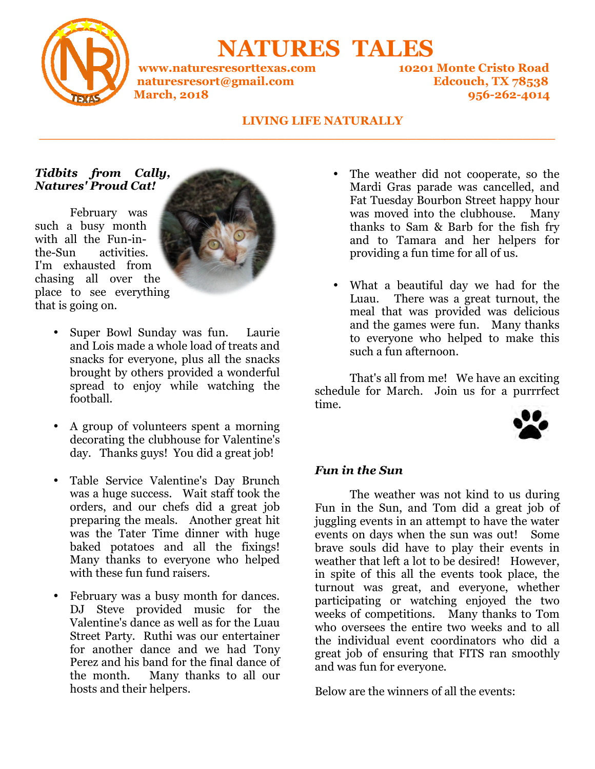

 **NATURES TALES**

**www.naturesresorttexas.com www.naturesresorttexas.com 10201 Monte Cristo Road naturesresort@gmail.com March, 2018**

**Edcouch, TX 78538 10201 Monte Road 956-262-4014** 

#### **LIVING LIFE NATURALLY**

**\_\_\_\_\_\_\_\_\_\_\_\_\_\_\_\_\_\_\_\_\_\_\_\_\_\_\_\_\_\_\_\_\_\_\_\_\_\_\_\_\_\_\_\_\_\_\_\_\_\_\_\_\_\_\_\_\_\_\_\_\_\_\_**

**\_\_\_\_\_\_\_\_\_\_\_\_\_\_\_\_\_\_\_\_\_\_\_\_\_\_\_\_\_\_\_\_\_\_\_\_\_\_\_\_\_\_\_\_\_\_\_\_\_\_\_\_\_\_\_\_\_\_\_\_\_\_\_**

### *Tidbits from Cally, Natures' Proud Cat!*

 February was such a busy month with all the Fun-inthe-Sun activities. I'm exhausted from chasing all over the place to see everything that is going on.



- Super Bowl Sunday was fun. Laurie and Lois made a whole load of treats and snacks for everyone, plus all the snacks brought by others provided a wonderful spread to enjoy while watching the football. Super Bowl Sunday was fun. Laurie and Lois made a whole load of treats and snacks for everyone, plus all the snacks brought by others provided a wonderful spread to enjoy while watching the football.<br>A group of volunteers
- A group of volunteers spent a morning decorating the clubhouse for Valentine's day. Thanks guys! You did a great job!
- Table Service Valentine's Day Brunch was a huge success. Wait staff took the orders, and our chefs did a great job preparing the meals. Another great h was the Tater Time dinner with huge baked potatoes and all the fixings! Many thanks to everyone who helped with these fun fund raisers.
- February was a busy month for dances. DJ Steve provided music for the Valentine's dance as well as for the Luau Street Party. Ruthi was our entertainer for another dance and we had Tony Perez and his band for the final dance of the month. Many thanks to all our hosts and their helpers.
- Mardi Gras parade was cancelled, and Fat Tuesday Bourbon Street happy hour was moved into the clubhouse. Many thanks to Sam & Barb for the fish fry and to Tamara and her helpers for providing a fun time for all of us. ardi Gras parade was cancelled, at Tuesday Bourbon Street happy has moved into the clubhouse. Manks to Sam & Barb for the fish d to Tamara and her helpers oviding a fun time for all of us.
- What a beautiful day we had for the Luau. There was a great turnout, the meal that was provided was delicious and the games were fun. Many thanks to everyone who helped to make this such a fun afternoon.

That's all from me! We have an exciting schedule for March. Join us for a purrrfect time.



#### *Fun in the Sun*

**Example 21 The watch of discussed and to cooperate and to the street another and the measurements are the the street in the base measurement and to The mass moved into the base measurement and to the measurement and to**  The weather was not kind to us during Fun in the Sun, and Tom did a great job of juggling events in an attempt to have the water events on days when the sun was out! Some brave souls did have to play their events in weather that left a lot to be desired! in spite of this all the events took place, the turnout was great, and everyone, whether participating or watching enjoyed the two weeks of competitions. Many thanks to Tom who oversees the entire two weeks and to all the individual event coordi great job of ensuring that FITS ran smoothly and was fun for everyone. to everyone who helped to make this<br>such a fun afternoon.<br>That's all from me! We have an exciting<br>tule for March. Join us for a purrrfect<br>in the Sun<br>in the Sun<br>The weather was not kind to us during<br>in the Sun, and Tom did in spite of this all the events took place, the turnout was great, and everyone, whether participating or watching enjoyed the two weeks of competitions. Many thanks to Tom who oversees the entire two weeks and to all the

Below are the winners of all the events: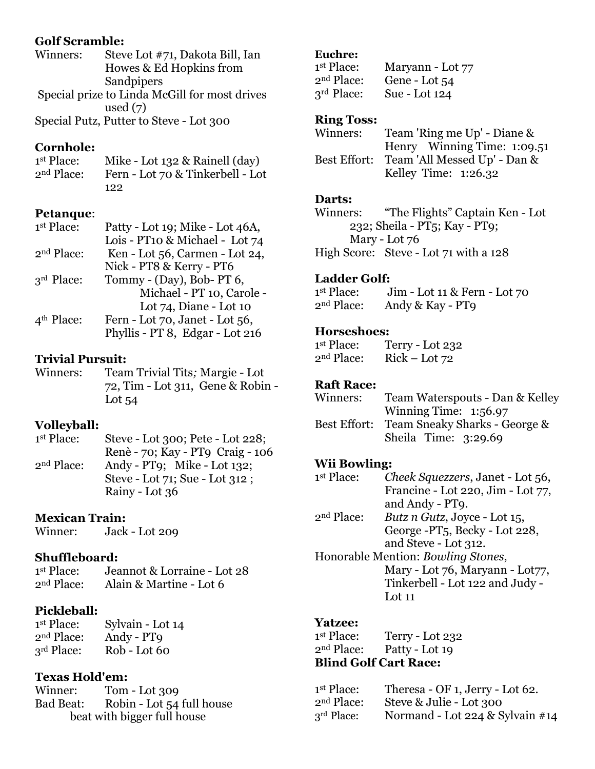### **Golf Scramble:**

| Winners: | Steve Lot #71, Dakota Bill, Ian               |
|----------|-----------------------------------------------|
|          | Howes & Ed Hopkins from                       |
|          | Sandpipers                                    |
|          | Special prize to Linda McGill for most drives |
|          | used $(7)$                                    |
|          | $Chaoial D1 + a D1 + b D2 + b D3 + b D4$      |

Special Putz, Putter to Steve - Lot 300

### **Cornhole:**

1st Place: Mike - Lot 132 & Rainell (day) 2nd Place: Fern - Lot 70 & Tinkerbell - Lot 122

### **Petanque**:

| 1 <sup>st</sup> Place: | Patty - Lot 19; Mike - Lot 46A, |
|------------------------|---------------------------------|
|                        | Lois - PT10 & Michael - Lot 74  |
| 2 <sup>nd</sup> Place: | Ken - Lot 56, Carmen - Lot 24,  |
|                        | Nick - PT8 & Kerry - PT6        |
| 3rd Place:             | Tommy - (Day), Bob- PT 6,       |
|                        | Michael - PT 10, Carole -       |
|                        | Lot 74, Diane - Lot 10          |
| 4 <sup>th</sup> Place: | Fern - Lot 70, Janet - Lot 56,  |
|                        | Phyllis - PT 8, Edgar - Lot 216 |
|                        |                                 |

### **Trivial Pursuit:**

Winners: Team Trivial Tits*;* Margie - Lot 72, Tim - Lot 311, Gene & Robin - Lot 54

### **Volleyball:**

1st Place: Steve - Lot 300; Pete - Lot 228; Renè - 70; Kay - PT9 Craig - 106<br>2<sup>nd</sup> Place: Andy - PT0: Mike - Lot 132: Andy - PT9; Mike - Lot  $132$ ; Steve - Lot 71; Sue - Lot 312 ;

Rainy - Lot 36

# **Mexican Train:**

Winner: Jack - Lot 209

# **Shuffleboard:**

<sup>1st</sup> Place:<br>2<sup>nd</sup> Place: Jeannot & Lorraine - Lot 28 Alain & Martine - Lot  $6$ 

# **Pickleball:**

1<sup>st</sup> Place: Sylvain - Lot 14 2nd Place: Andy - PT9 3<sup>rd</sup> Place: Rob - Lot 60

# **Texas Hold'em:**

Winner: Tom - Lot 309 Bad Beat: Robin - Lot 54 full house beat with bigger full house

#### **Euchre:**

| 1 <sup>st</sup> Place: | Maryann - Lot 77 |
|------------------------|------------------|
| 2 <sup>nd</sup> Place: | Gene - Lot 54    |
| 3 <sup>rd</sup> Place: | Sue - Lot 124    |

#### **Ring Toss:**

| Winners: | Team 'Ring me Up' - Diane &               |
|----------|-------------------------------------------|
|          | Henry Winning Time: 1:09.51               |
|          | Best Effort: Team 'All Messed Up' - Dan & |
|          | Kelley Time: $1:26.32$                    |

#### **Darts:**

Winners: "The Flights" Captain Ken - Lot 232; Sheila - PT5; Kay - PT9; Mary - Lot 76 High Score: Steve - Lot 71 with a 128

### **Ladder Golf:**

1st Place: Jim - Lot 11 & Fern - Lot 70 2nd Place: Andy & Kay - PT9

#### **Horseshoes:**

1<sup>st</sup> Place: Terry - Lot 232 2nd Place: Rick – Lot 72

### **Raft Race:**

| Winners: | Team Waterspouts - Dan & Kelley            |
|----------|--------------------------------------------|
|          | Winning Time: $1:56.97$                    |
|          | Best Effort: Team Sneaky Sharks - George & |
|          | Sheila Time: 3:29.69                       |

### **Wii Bowling:**

1st Place: st Place: *Cheek Squezzers*, Janet - Lot 56, Francine - Lot 220, Jim - Lot 77, and Andy - PT9.

2nd Place: *Butz n Gutz*, Joyce - Lot 15, George -PT5, Becky - Lot 228, and Steve - Lot 312.

Honorable Mention: *Bowling Stones*, Mary - Lot 76, Maryann - Lot 77, Tinkerbell - Lot 122 and Judy - Lot 11

### **Yatzee:**

1st Place: Terry - Lot 232 2nd Place: Patty - Lot 19 **Blind Golf Cart Race:** 

| 1 <sup>st</sup> Place: | Theresa - OF 1, Jerry - Lot 62. |
|------------------------|---------------------------------|
| 2 <sup>nd</sup> Place: | Steve & Julie - Lot 300         |
| $3rd$ Place:           | Normand - Lot 224 & Sylvain #14 |